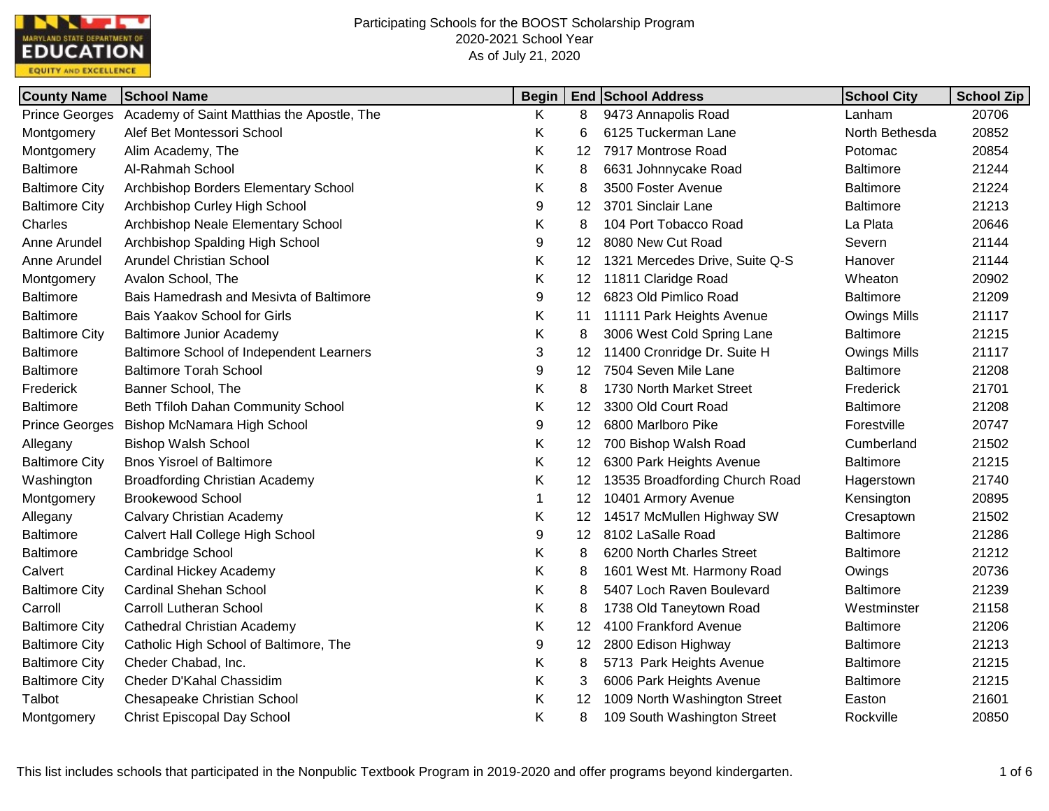

| <b>County Name</b>    | <b>School Name</b>                         | <b>Begin</b> |    | <b>End School Address</b>      | <b>School City</b>  | School Zip |
|-----------------------|--------------------------------------------|--------------|----|--------------------------------|---------------------|------------|
| <b>Prince Georges</b> | Academy of Saint Matthias the Apostle, The | K            | 8  | 9473 Annapolis Road            | Lanham              | 20706      |
| Montgomery            | Alef Bet Montessori School                 | Κ            | 6  | 6125 Tuckerman Lane            | North Bethesda      | 20852      |
| Montgomery            | Alim Academy, The                          | Κ            | 12 | 7917 Montrose Road             | Potomac             | 20854      |
| <b>Baltimore</b>      | Al-Rahmah School                           | Κ            | 8  | 6631 Johnnycake Road           | <b>Baltimore</b>    | 21244      |
| <b>Baltimore City</b> | Archbishop Borders Elementary School       | Κ            | 8  | 3500 Foster Avenue             | <b>Baltimore</b>    | 21224      |
| <b>Baltimore City</b> | Archbishop Curley High School              | 9            | 12 | 3701 Sinclair Lane             | <b>Baltimore</b>    | 21213      |
| Charles               | Archbishop Neale Elementary School         | Κ            | 8  | 104 Port Tobacco Road          | La Plata            | 20646      |
| Anne Arundel          | Archbishop Spalding High School            | 9            | 12 | 8080 New Cut Road              | Severn              | 21144      |
| Anne Arundel          | <b>Arundel Christian School</b>            | Κ            | 12 | 1321 Mercedes Drive, Suite Q-S | Hanover             | 21144      |
| Montgomery            | Avalon School, The                         | Κ            | 12 | 11811 Claridge Road            | Wheaton             | 20902      |
| <b>Baltimore</b>      | Bais Hamedrash and Mesivta of Baltimore    | 9            | 12 | 6823 Old Pimlico Road          | <b>Baltimore</b>    | 21209      |
| <b>Baltimore</b>      | Bais Yaakov School for Girls               | Κ            | 11 | 11111 Park Heights Avenue      | <b>Owings Mills</b> | 21117      |
| <b>Baltimore City</b> | <b>Baltimore Junior Academy</b>            | Κ            | 8  | 3006 West Cold Spring Lane     | <b>Baltimore</b>    | 21215      |
| <b>Baltimore</b>      | Baltimore School of Independent Learners   | 3            | 12 | 11400 Cronridge Dr. Suite H    | <b>Owings Mills</b> | 21117      |
| <b>Baltimore</b>      | <b>Baltimore Torah School</b>              | 9            | 12 | 7504 Seven Mile Lane           | <b>Baltimore</b>    | 21208      |
| Frederick             | Banner School, The                         | Κ            | 8  | 1730 North Market Street       | Frederick           | 21701      |
| <b>Baltimore</b>      | Beth Tfiloh Dahan Community School         | Κ            | 12 | 3300 Old Court Road            | <b>Baltimore</b>    | 21208      |
| <b>Prince Georges</b> | Bishop McNamara High School                | 9            | 12 | 6800 Marlboro Pike             | Forestville         | 20747      |
| Allegany              | <b>Bishop Walsh School</b>                 | Κ            | 12 | 700 Bishop Walsh Road          | Cumberland          | 21502      |
| <b>Baltimore City</b> | <b>Bnos Yisroel of Baltimore</b>           | Κ            | 12 | 6300 Park Heights Avenue       | <b>Baltimore</b>    | 21215      |
| Washington            | <b>Broadfording Christian Academy</b>      | Κ            | 12 | 13535 Broadfording Church Road | Hagerstown          | 21740      |
| Montgomery            | <b>Brookewood School</b>                   | 1            | 12 | 10401 Armory Avenue            | Kensington          | 20895      |
| Allegany              | <b>Calvary Christian Academy</b>           | K            | 12 | 14517 McMullen Highway SW      | Cresaptown          | 21502      |
| <b>Baltimore</b>      | Calvert Hall College High School           | 9            | 12 | 8102 LaSalle Road              | <b>Baltimore</b>    | 21286      |
| <b>Baltimore</b>      | Cambridge School                           | Κ            | 8  | 6200 North Charles Street      | <b>Baltimore</b>    | 21212      |
| Calvert               | Cardinal Hickey Academy                    | Κ            | 8  | 1601 West Mt. Harmony Road     | Owings              | 20736      |
| <b>Baltimore City</b> | <b>Cardinal Shehan School</b>              | Κ            | 8  | 5407 Loch Raven Boulevard      | <b>Baltimore</b>    | 21239      |
| Carroll               | <b>Carroll Lutheran School</b>             | Κ            | 8  | 1738 Old Taneytown Road        | Westminster         | 21158      |
| <b>Baltimore City</b> | <b>Cathedral Christian Academy</b>         | Κ            | 12 | 4100 Frankford Avenue          | <b>Baltimore</b>    | 21206      |
| <b>Baltimore City</b> | Catholic High School of Baltimore, The     | 9            | 12 | 2800 Edison Highway            | <b>Baltimore</b>    | 21213      |
| <b>Baltimore City</b> | Cheder Chabad, Inc.                        | Κ            | 8  | 5713 Park Heights Avenue       | <b>Baltimore</b>    | 21215      |
| <b>Baltimore City</b> | Cheder D'Kahal Chassidim                   | Κ            | 3  | 6006 Park Heights Avenue       | <b>Baltimore</b>    | 21215      |
| Talbot                | Chesapeake Christian School                | Κ            | 12 | 1009 North Washington Street   | Easton              | 21601      |
| Montgomery            | <b>Christ Episcopal Day School</b>         | Κ            | 8  | 109 South Washington Street    | Rockville           | 20850      |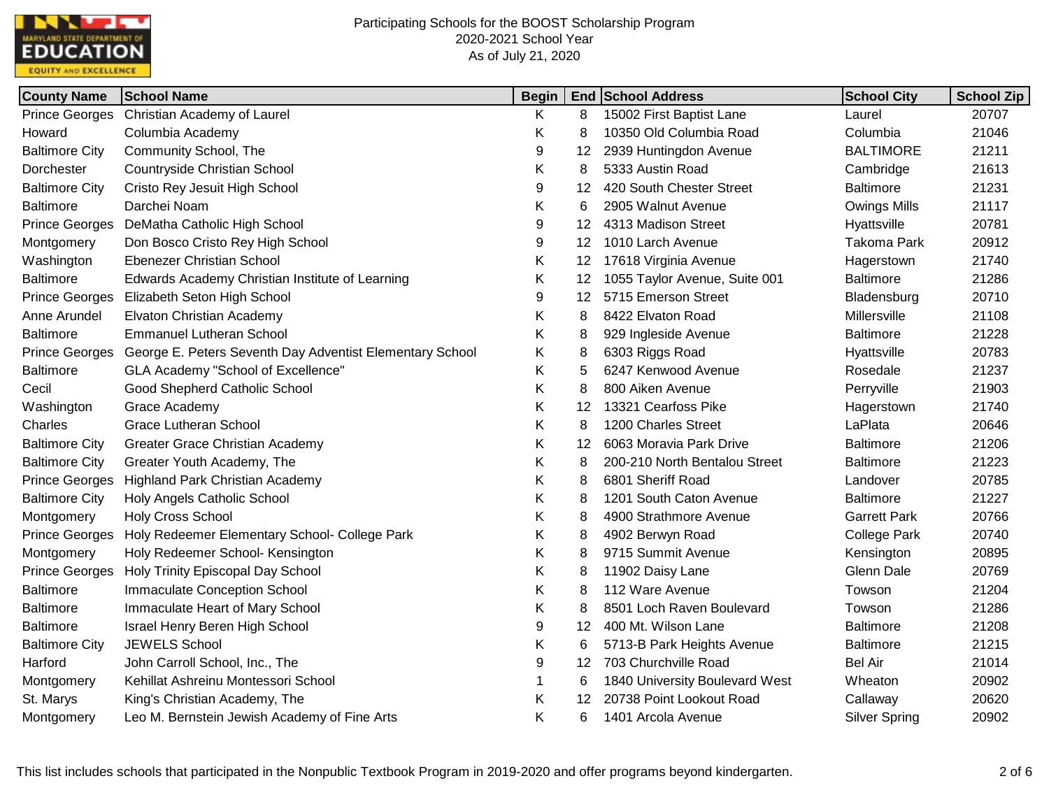

| <b>County Name</b>    | <b>School Name</b>                                       | <b>Begin</b> |    | <b>End School Address</b>      | <b>School City</b>   | <b>School Zip</b> |
|-----------------------|----------------------------------------------------------|--------------|----|--------------------------------|----------------------|-------------------|
| <b>Prince Georges</b> | Christian Academy of Laurel                              | Κ            | 8  | 15002 First Baptist Lane       | Laurel               | 20707             |
| Howard                | Columbia Academy                                         | Κ            | 8  | 10350 Old Columbia Road        | Columbia             | 21046             |
| <b>Baltimore City</b> | Community School, The                                    | 9            | 12 | 2939 Huntingdon Avenue         | <b>BALTIMORE</b>     | 21211             |
| Dorchester            | Countryside Christian School                             | Κ            | 8  | 5333 Austin Road               | Cambridge            | 21613             |
| <b>Baltimore City</b> | Cristo Rey Jesuit High School                            | 9            | 12 | 420 South Chester Street       | <b>Baltimore</b>     | 21231             |
| <b>Baltimore</b>      | Darchei Noam                                             | Κ            | 6  | 2905 Walnut Avenue             | <b>Owings Mills</b>  | 21117             |
| <b>Prince Georges</b> | DeMatha Catholic High School                             | 9            | 12 | 4313 Madison Street            | Hyattsville          | 20781             |
| Montgomery            | Don Bosco Cristo Rey High School                         | 9            | 12 | 1010 Larch Avenue              | <b>Takoma Park</b>   | 20912             |
| Washington            | <b>Ebenezer Christian School</b>                         | Κ            | 12 | 17618 Virginia Avenue          | Hagerstown           | 21740             |
| <b>Baltimore</b>      | Edwards Academy Christian Institute of Learning          | Κ            | 12 | 1055 Taylor Avenue, Suite 001  | <b>Baltimore</b>     | 21286             |
| <b>Prince Georges</b> | Elizabeth Seton High School                              | 9            | 12 | 5715 Emerson Street            | Bladensburg          | 20710             |
| Anne Arundel          | Elvaton Christian Academy                                | Κ            | 8  | 8422 Elvaton Road              | Millersville         | 21108             |
| <b>Baltimore</b>      | <b>Emmanuel Lutheran School</b>                          | Κ            | 8  | 929 Ingleside Avenue           | Baltimore            | 21228             |
| <b>Prince Georges</b> | George E. Peters Seventh Day Adventist Elementary School | Κ            | 8  | 6303 Riggs Road                | Hyattsville          | 20783             |
| <b>Baltimore</b>      | GLA Academy "School of Excellence"                       | Κ            | 5  | 6247 Kenwood Avenue            | Rosedale             | 21237             |
| Cecil                 | Good Shepherd Catholic School                            | Κ            | 8  | 800 Aiken Avenue               | Perryville           | 21903             |
| Washington            | Grace Academy                                            | Κ            | 12 | 13321 Cearfoss Pike            | Hagerstown           | 21740             |
| Charles               | <b>Grace Lutheran School</b>                             | Κ            | 8  | 1200 Charles Street            | LaPlata              | 20646             |
| <b>Baltimore City</b> | <b>Greater Grace Christian Academy</b>                   | Κ            | 12 | 6063 Moravia Park Drive        | <b>Baltimore</b>     | 21206             |
| <b>Baltimore City</b> | Greater Youth Academy, The                               | Κ            | 8  | 200-210 North Bentalou Street  | <b>Baltimore</b>     | 21223             |
| <b>Prince Georges</b> | <b>Highland Park Christian Academy</b>                   | Κ            | 8  | 6801 Sheriff Road              | Landover             | 20785             |
| <b>Baltimore City</b> | Holy Angels Catholic School                              | Κ            | 8  | 1201 South Caton Avenue        | <b>Baltimore</b>     | 21227             |
| Montgomery            | <b>Holy Cross School</b>                                 | Κ            | 8  | 4900 Strathmore Avenue         | <b>Garrett Park</b>  | 20766             |
| <b>Prince Georges</b> | Holy Redeemer Elementary School- College Park            | Κ            | 8  | 4902 Berwyn Road               | <b>College Park</b>  | 20740             |
| Montgomery            | Holy Redeemer School- Kensington                         | Κ            | 8  | 9715 Summit Avenue             | Kensington           | 20895             |
| <b>Prince Georges</b> | Holy Trinity Episcopal Day School                        | Κ            | 8  | 11902 Daisy Lane               | Glenn Dale           | 20769             |
| <b>Baltimore</b>      | Immaculate Conception School                             | Κ            | 8  | 112 Ware Avenue                | Towson               | 21204             |
| <b>Baltimore</b>      | Immaculate Heart of Mary School                          | Κ            | 8  | 8501 Loch Raven Boulevard      | Towson               | 21286             |
| <b>Baltimore</b>      | Israel Henry Beren High School                           | 9            | 12 | 400 Mt. Wilson Lane            | <b>Baltimore</b>     | 21208             |
| <b>Baltimore City</b> | <b>JEWELS School</b>                                     | Κ            | 6  | 5713-B Park Heights Avenue     | <b>Baltimore</b>     | 21215             |
| Harford               | John Carroll School, Inc., The                           | 9            | 12 | 703 Churchville Road           | <b>Bel Air</b>       | 21014             |
| Montgomery            | Kehillat Ashreinu Montessori School                      | 1            | 6  | 1840 University Boulevard West | Wheaton              | 20902             |
| St. Marys             | King's Christian Academy, The                            | Κ            | 12 | 20738 Point Lookout Road       | Callaway             | 20620             |
| Montgomery            | Leo M. Bernstein Jewish Academy of Fine Arts             | Κ            | 6  | 1401 Arcola Avenue             | <b>Silver Spring</b> | 20902             |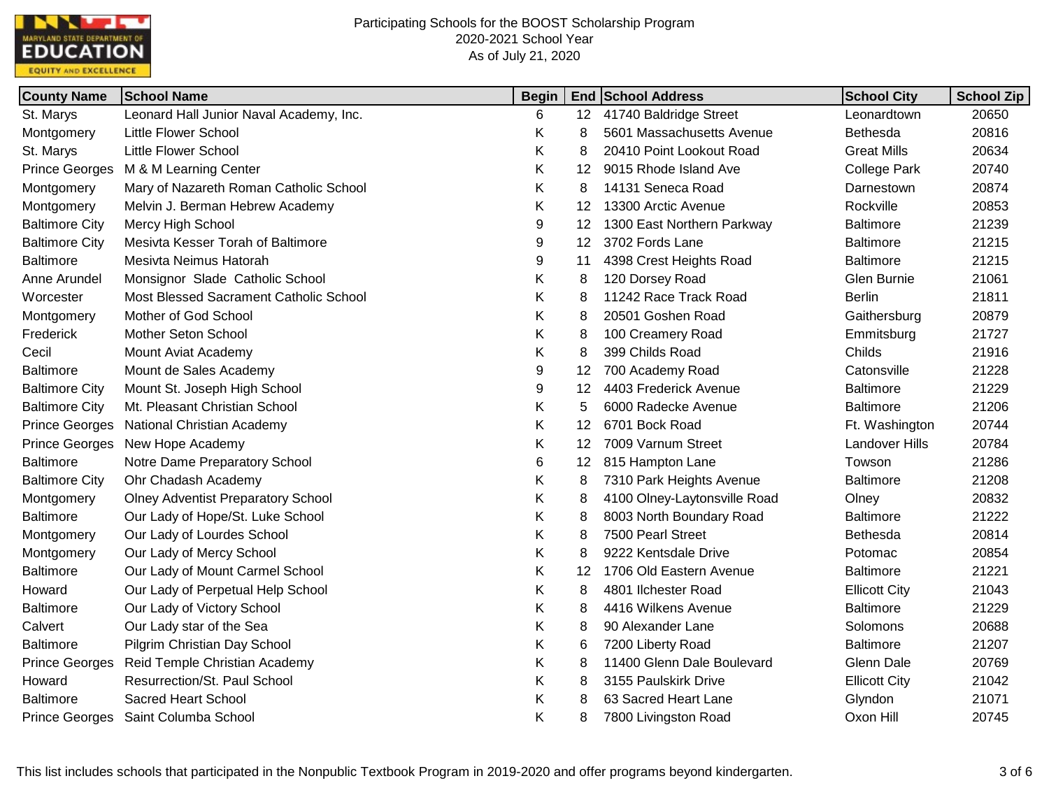

| <b>County Name</b>    | <b>School Name</b>                        | <b>Begin</b> |    | <b>End School Address</b>    | <b>School City</b>    | <b>School Zip</b> |
|-----------------------|-------------------------------------------|--------------|----|------------------------------|-----------------------|-------------------|
| St. Marys             | Leonard Hall Junior Naval Academy, Inc.   | 6            |    | 12 41740 Baldridge Street    | Leonardtown           | 20650             |
| Montgomery            | <b>Little Flower School</b>               | Κ            | 8  | 5601 Massachusetts Avenue    | Bethesda              | 20816             |
| St. Marys             | <b>Little Flower School</b>               | Κ            | 8  | 20410 Point Lookout Road     | <b>Great Mills</b>    | 20634             |
| <b>Prince Georges</b> | M & M Learning Center                     | Κ            | 12 | 9015 Rhode Island Ave        | <b>College Park</b>   | 20740             |
| Montgomery            | Mary of Nazareth Roman Catholic School    | Κ            | 8  | 14131 Seneca Road            | Darnestown            | 20874             |
| Montgomery            | Melvin J. Berman Hebrew Academy           | Κ            | 12 | 13300 Arctic Avenue          | Rockville             | 20853             |
| <b>Baltimore City</b> | Mercy High School                         | 9            | 12 | 1300 East Northern Parkway   | <b>Baltimore</b>      | 21239             |
| <b>Baltimore City</b> | Mesivta Kesser Torah of Baltimore         | 9            | 12 | 3702 Fords Lane              | <b>Baltimore</b>      | 21215             |
| <b>Baltimore</b>      | Mesivta Neimus Hatorah                    | 9            | 11 | 4398 Crest Heights Road      | <b>Baltimore</b>      | 21215             |
| Anne Arundel          | Monsignor Slade Catholic School           | Κ            | 8  | 120 Dorsey Road              | Glen Burnie           | 21061             |
| Worcester             | Most Blessed Sacrament Catholic School    | Κ            | 8  | 11242 Race Track Road        | <b>Berlin</b>         | 21811             |
| Montgomery            | Mother of God School                      | Κ            | 8  | 20501 Goshen Road            | Gaithersburg          | 20879             |
| Frederick             | Mother Seton School                       | Κ            | 8  | 100 Creamery Road            | Emmitsburg            | 21727             |
| Cecil                 | Mount Aviat Academy                       | Κ            | 8  | 399 Childs Road              | Childs                | 21916             |
| <b>Baltimore</b>      | Mount de Sales Academy                    | 9            | 12 | 700 Academy Road             | Catonsville           | 21228             |
| <b>Baltimore City</b> | Mount St. Joseph High School              | 9            | 12 | 4403 Frederick Avenue        | <b>Baltimore</b>      | 21229             |
| <b>Baltimore City</b> | Mt. Pleasant Christian School             | Κ            | 5  | 6000 Radecke Avenue          | <b>Baltimore</b>      | 21206             |
| <b>Prince Georges</b> | <b>National Christian Academy</b>         | Κ            | 12 | 6701 Bock Road               | Ft. Washington        | 20744             |
| <b>Prince Georges</b> | New Hope Academy                          | Κ            | 12 | 7009 Varnum Street           | <b>Landover Hills</b> | 20784             |
| <b>Baltimore</b>      | Notre Dame Preparatory School             | 6            | 12 | 815 Hampton Lane             | Towson                | 21286             |
| <b>Baltimore City</b> | Ohr Chadash Academy                       | Κ            | 8  | 7310 Park Heights Avenue     | <b>Baltimore</b>      | 21208             |
| Montgomery            | <b>Olney Adventist Preparatory School</b> | Κ            | 8  | 4100 Olney-Laytonsville Road | Olney                 | 20832             |
| <b>Baltimore</b>      | Our Lady of Hope/St. Luke School          | Κ            | 8  | 8003 North Boundary Road     | <b>Baltimore</b>      | 21222             |
| Montgomery            | Our Lady of Lourdes School                | Κ            | 8  | 7500 Pearl Street            | Bethesda              | 20814             |
| Montgomery            | Our Lady of Mercy School                  | Κ            | 8  | 9222 Kentsdale Drive         | Potomac               | 20854             |
| <b>Baltimore</b>      | Our Lady of Mount Carmel School           | Κ            | 12 | 1706 Old Eastern Avenue      | <b>Baltimore</b>      | 21221             |
| Howard                | Our Lady of Perpetual Help School         | Κ            | 8  | 4801 Ilchester Road          | <b>Ellicott City</b>  | 21043             |
| <b>Baltimore</b>      | Our Lady of Victory School                | Κ            | 8  | 4416 Wilkens Avenue          | <b>Baltimore</b>      | 21229             |
| Calvert               | Our Lady star of the Sea                  | Κ            | 8  | 90 Alexander Lane            | Solomons              | 20688             |
| <b>Baltimore</b>      | Pilgrim Christian Day School              | Κ            | 6  | 7200 Liberty Road            | <b>Baltimore</b>      | 21207             |
| <b>Prince Georges</b> | Reid Temple Christian Academy             | Κ            | 8  | 11400 Glenn Dale Boulevard   | Glenn Dale            | 20769             |
| Howard                | Resurrection/St. Paul School              | Κ            | 8  | 3155 Paulskirk Drive         | <b>Ellicott City</b>  | 21042             |
| <b>Baltimore</b>      | <b>Sacred Heart School</b>                | Κ            |    | 63 Sacred Heart Lane         | Glyndon               | 21071             |
| <b>Prince Georges</b> | Saint Columba School                      | Κ            | 8  | 7800 Livingston Road         | Oxon Hill             | 20745             |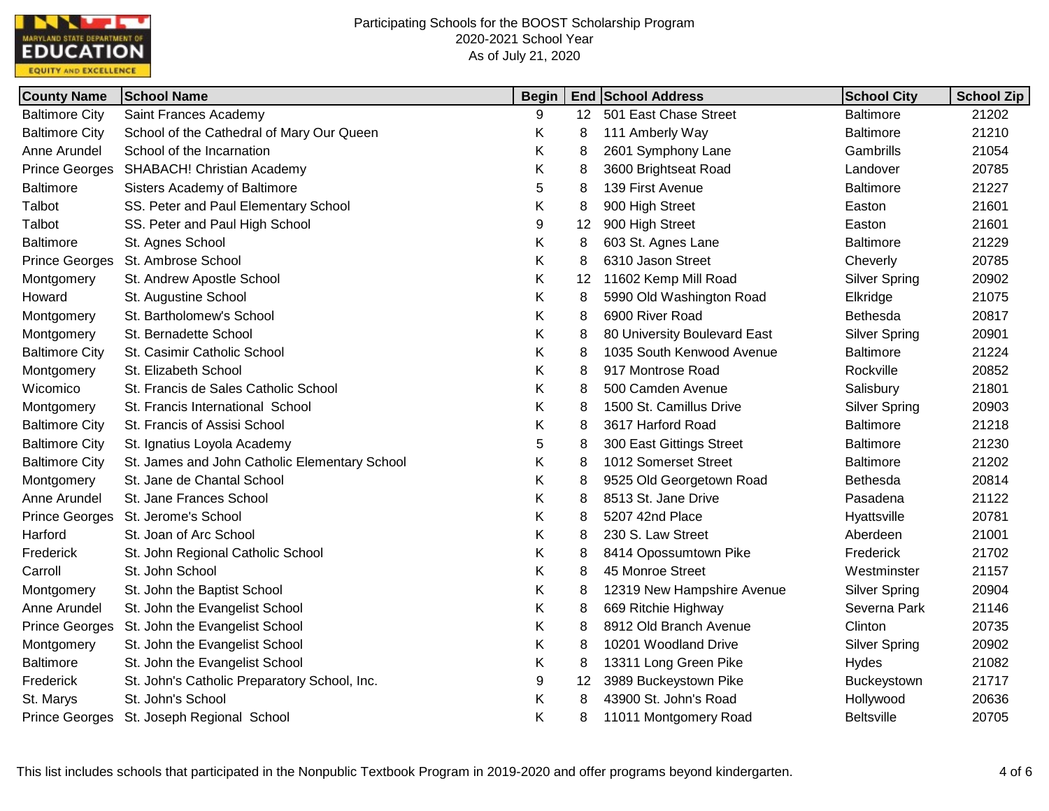

| <b>County Name</b>    | <b>School Name</b>                            | <b>Begin</b> |    | <b>End School Address</b>    | <b>School City</b>   | <b>School Zip</b> |
|-----------------------|-----------------------------------------------|--------------|----|------------------------------|----------------------|-------------------|
| <b>Baltimore City</b> | Saint Frances Academy                         | 9            |    | 12 501 East Chase Street     | <b>Baltimore</b>     | 21202             |
| <b>Baltimore City</b> | School of the Cathedral of Mary Our Queen     | Κ            | 8  | 111 Amberly Way              | <b>Baltimore</b>     | 21210             |
| Anne Arundel          | School of the Incarnation                     | Κ            | 8  | 2601 Symphony Lane           | Gambrills            | 21054             |
| <b>Prince Georges</b> | <b>SHABACH! Christian Academy</b>             | Κ            | 8  | 3600 Brightseat Road         | Landover             | 20785             |
| <b>Baltimore</b>      | Sisters Academy of Baltimore                  | 5            | 8  | 139 First Avenue             | <b>Baltimore</b>     | 21227             |
| Talbot                | SS. Peter and Paul Elementary School          | Κ            | 8  | 900 High Street              | Easton               | 21601             |
| Talbot                | SS. Peter and Paul High School                | 9            | 12 | 900 High Street              | Easton               | 21601             |
| <b>Baltimore</b>      | St. Agnes School                              | Κ            | 8  | 603 St. Agnes Lane           | <b>Baltimore</b>     | 21229             |
| <b>Prince Georges</b> | St. Ambrose School                            | Κ            | 8  | 6310 Jason Street            | Cheverly             | 20785             |
| Montgomery            | St. Andrew Apostle School                     | Κ            | 12 | 11602 Kemp Mill Road         | <b>Silver Spring</b> | 20902             |
| Howard                | St. Augustine School                          | Κ            | 8  | 5990 Old Washington Road     | Elkridge             | 21075             |
| Montgomery            | St. Bartholomew's School                      | Κ            | 8  | 6900 River Road              | Bethesda             | 20817             |
| Montgomery            | St. Bernadette School                         | Κ            | 8  | 80 University Boulevard East | <b>Silver Spring</b> | 20901             |
| <b>Baltimore City</b> | St. Casimir Catholic School                   | Κ            | 8  | 1035 South Kenwood Avenue    | <b>Baltimore</b>     | 21224             |
| Montgomery            | St. Elizabeth School                          | Κ            | 8  | 917 Montrose Road            | Rockville            | 20852             |
| Wicomico              | St. Francis de Sales Catholic School          | Κ            | 8  | 500 Camden Avenue            | Salisbury            | 21801             |
| Montgomery            | St. Francis International School              | Κ            | 8  | 1500 St. Camillus Drive      | <b>Silver Spring</b> | 20903             |
| <b>Baltimore City</b> | St. Francis of Assisi School                  | Κ            | 8  | 3617 Harford Road            | <b>Baltimore</b>     | 21218             |
| <b>Baltimore City</b> | St. Ignatius Loyola Academy                   | 5            | 8  | 300 East Gittings Street     | <b>Baltimore</b>     | 21230             |
| <b>Baltimore City</b> | St. James and John Catholic Elementary School | Κ            | 8  | 1012 Somerset Street         | <b>Baltimore</b>     | 21202             |
| Montgomery            | St. Jane de Chantal School                    | Κ            | 8  | 9525 Old Georgetown Road     | Bethesda             | 20814             |
| Anne Arundel          | St. Jane Frances School                       | Κ            | 8  | 8513 St. Jane Drive          | Pasadena             | 21122             |
| <b>Prince Georges</b> | St. Jerome's School                           | Κ            | 8  | 5207 42nd Place              | Hyattsville          | 20781             |
| Harford               | St. Joan of Arc School                        | Κ            | 8  | 230 S. Law Street            | Aberdeen             | 21001             |
| Frederick             | St. John Regional Catholic School             | Κ            | 8  | 8414 Opossumtown Pike        | Frederick            | 21702             |
| Carroll               | St. John School                               | Κ            | 8  | 45 Monroe Street             | Westminster          | 21157             |
| Montgomery            | St. John the Baptist School                   | Κ            | 8  | 12319 New Hampshire Avenue   | <b>Silver Spring</b> | 20904             |
| Anne Arundel          | St. John the Evangelist School                | Κ            | 8  | 669 Ritchie Highway          | Severna Park         | 21146             |
| <b>Prince Georges</b> | St. John the Evangelist School                | Κ            | 8  | 8912 Old Branch Avenue       | Clinton              | 20735             |
| Montgomery            | St. John the Evangelist School                | Κ            | 8  | 10201 Woodland Drive         | <b>Silver Spring</b> | 20902             |
| <b>Baltimore</b>      | St. John the Evangelist School                | Κ            | 8  | 13311 Long Green Pike        | <b>Hydes</b>         | 21082             |
| Frederick             | St. John's Catholic Preparatory School, Inc.  | 9            | 12 | 3989 Buckeystown Pike        | Buckeystown          | 21717             |
| St. Marys             | St. John's School                             | Κ            | 8  | 43900 St. John's Road        | Hollywood            | 20636             |
| <b>Prince Georges</b> | St. Joseph Regional School                    | Κ            | 8  | 11011 Montgomery Road        | <b>Beltsville</b>    | 20705             |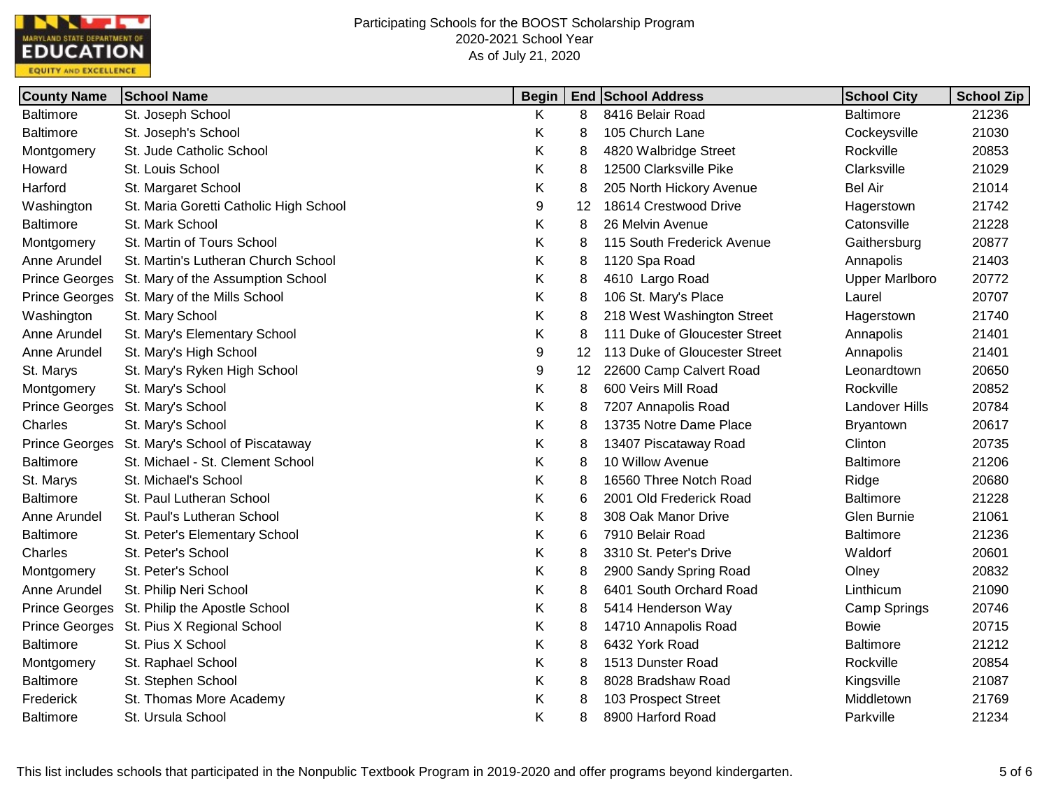

| <b>County Name</b>    | <b>School Name</b>                     | <b>Begin</b> |    | <b>End School Address</b>     | <b>School City</b>    | <b>School Zip</b> |
|-----------------------|----------------------------------------|--------------|----|-------------------------------|-----------------------|-------------------|
| <b>Baltimore</b>      | St. Joseph School                      | K            | 8  | 8416 Belair Road              | <b>Baltimore</b>      | 21236             |
| <b>Baltimore</b>      | St. Joseph's School                    | K            | 8  | 105 Church Lane               | Cockeysville          | 21030             |
| Montgomery            | St. Jude Catholic School               | Κ            | 8  | 4820 Walbridge Street         | Rockville             | 20853             |
| Howard                | St. Louis School                       | Κ            | 8  | 12500 Clarksville Pike        | Clarksville           | 21029             |
| Harford               | St. Margaret School                    | Κ            | 8  | 205 North Hickory Avenue      | <b>Bel Air</b>        | 21014             |
| Washington            | St. Maria Goretti Catholic High School | 9            | 12 | 18614 Crestwood Drive         | Hagerstown            | 21742             |
| <b>Baltimore</b>      | St. Mark School                        | K            | 8  | 26 Melvin Avenue              | Catonsville           | 21228             |
| Montgomery            | St. Martin of Tours School             | Κ            | 8  | 115 South Frederick Avenue    | Gaithersburg          | 20877             |
| Anne Arundel          | St. Martin's Lutheran Church School    | Κ            | 8  | 1120 Spa Road                 | Annapolis             | 21403             |
| <b>Prince Georges</b> | St. Mary of the Assumption School      | Κ            | 8  | 4610 Largo Road               | <b>Upper Marlboro</b> | 20772             |
| <b>Prince Georges</b> | St. Mary of the Mills School           | Κ            | 8  | 106 St. Mary's Place          | Laurel                | 20707             |
| Washington            | St. Mary School                        | Κ            | 8  | 218 West Washington Street    | Hagerstown            | 21740             |
| Anne Arundel          | St. Mary's Elementary School           | Κ            | 8  | 111 Duke of Gloucester Street | Annapolis             | 21401             |
| Anne Arundel          | St. Mary's High School                 | 9            | 12 | 113 Duke of Gloucester Street | Annapolis             | 21401             |
| St. Marys             | St. Mary's Ryken High School           | 9            | 12 | 22600 Camp Calvert Road       | Leonardtown           | 20650             |
| Montgomery            | St. Mary's School                      | Κ            | 8  | 600 Veirs Mill Road           | Rockville             | 20852             |
| <b>Prince Georges</b> | St. Mary's School                      | Κ            | 8  | 7207 Annapolis Road           | <b>Landover Hills</b> | 20784             |
| Charles               | St. Mary's School                      | Κ            | 8  | 13735 Notre Dame Place        | Bryantown             | 20617             |
| <b>Prince Georges</b> | St. Mary's School of Piscataway        | Κ            | 8  | 13407 Piscataway Road         | Clinton               | 20735             |
| <b>Baltimore</b>      | St. Michael - St. Clement School       | Κ            | 8  | 10 Willow Avenue              | <b>Baltimore</b>      | 21206             |
| St. Marys             | St. Michael's School                   | Κ            | 8  | 16560 Three Notch Road        | Ridge                 | 20680             |
| <b>Baltimore</b>      | St. Paul Lutheran School               | Κ            | 6  | 2001 Old Frederick Road       | <b>Baltimore</b>      | 21228             |
| Anne Arundel          | St. Paul's Lutheran School             | Κ            | 8  | 308 Oak Manor Drive           | Glen Burnie           | 21061             |
| <b>Baltimore</b>      | St. Peter's Elementary School          | Κ            | 6  | 7910 Belair Road              | <b>Baltimore</b>      | 21236             |
| Charles               | St. Peter's School                     | Κ            | 8  | 3310 St. Peter's Drive        | Waldorf               | 20601             |
| Montgomery            | St. Peter's School                     | Κ            | 8  | 2900 Sandy Spring Road        | Olney                 | 20832             |
| Anne Arundel          | St. Philip Neri School                 | Κ            | 8  | 6401 South Orchard Road       | Linthicum             | 21090             |
| <b>Prince Georges</b> | St. Philip the Apostle School          | Κ            | 8  | 5414 Henderson Way            | Camp Springs          | 20746             |
| <b>Prince Georges</b> | St. Pius X Regional School             | Κ            | 8  | 14710 Annapolis Road          | <b>Bowie</b>          | 20715             |
| <b>Baltimore</b>      | St. Pius X School                      | Κ            | 8  | 6432 York Road                | <b>Baltimore</b>      | 21212             |
| Montgomery            | St. Raphael School                     | Κ            | 8  | 1513 Dunster Road             | Rockville             | 20854             |
| <b>Baltimore</b>      | St. Stephen School                     | Κ            | 8  | 8028 Bradshaw Road            | Kingsville            | 21087             |
| Frederick             | St. Thomas More Academy                | Κ            | 8  | 103 Prospect Street           | Middletown            | 21769             |
| <b>Baltimore</b>      | St. Ursula School                      | Κ            | 8  | 8900 Harford Road             | Parkville             | 21234             |